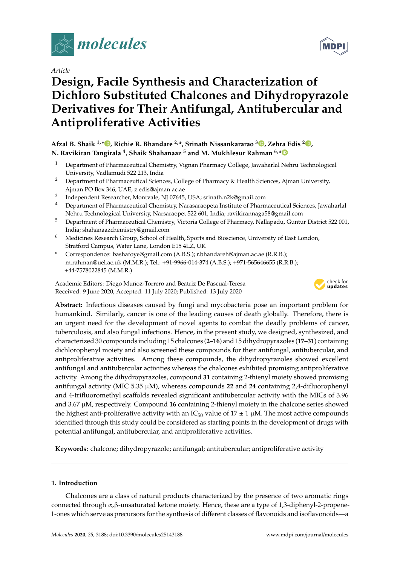

*Article*

# **Design, Facile Synthesis and Characterization of Dichloro Substituted Chalcones and Dihydropyrazole Derivatives for Their Antifungal, Antitubercular and Antiproliferative Activities**

**Afzal B. Shaik 1,\* , Richie R. Bhandare 2,\*, Srinath Nissankararao <sup>3</sup> , Zehra Edis <sup>2</sup> , N. Ravikiran Tangirala <sup>4</sup> , Shaik Shahanaaz <sup>5</sup> and M. Mukhlesur Rahman 6,\***

- <sup>1</sup> Department of Pharmaceutical Chemistry, Vignan Pharmacy College, Jawaharlal Nehru Technological University, Vadlamudi 522 213, India
- <sup>2</sup> Department of Pharmaceutical Sciences, College of Pharmacy & Health Sciences, Ajman University, Ajman PO Box 346, UAE; z.edis@ajman.ac.ae
- 3 Independent Researcher, Montvale, NJ 07645, USA; srinath.n2k@gmail.com
- <sup>4</sup> Department of Pharmaceutical Chemistry, Narasaraopeta Institute of Pharmaceutical Sciences, Jawaharlal Nehru Technological University, Narsaraopet 522 601, India; ravikirannaga58@gmail.com
- <sup>5</sup> Department of Pharmaceutical Chemistry, Victoria College of Pharmacy, Nallapadu, Guntur District 522 001, India; shahanaazchemistry@gmail.com
- <sup>6</sup> Medicines Research Group, School of Health, Sports and Bioscience, University of East London, Stratford Campus, Water Lane, London E15 4LZ, UK
- **\*** Correspondence: bashafoye@gmail.com (A.B.S.); r.bhandareh@ajman.ac.ae (R.R.B.); m.rahman@uel.ac.uk (M.M.R.); Tel.: +91-9966-014-374 (A.B.S.); +971-565646655 (R.R.B.); +44-7578022845 (M.M.R.)

Academic Editors: Diego Muñoz-Torrero and Beatriz De Pascual-Teresa Received: 9 June 2020; Accepted: 11 July 2020; Published: 13 July 2020



**Abstract:** Infectious diseases caused by fungi and mycobacteria pose an important problem for humankind. Similarly, cancer is one of the leading causes of death globally. Therefore, there is an urgent need for the development of novel agents to combat the deadly problems of cancer, tuberculosis, and also fungal infections. Hence, in the present study, we designed, synthesized, and characterized 30 compounds including 15 chalcones (**2**–**16**) and 15 dihydropyrazoles (**17**–**31**) containing dichlorophenyl moiety and also screened these compounds for their antifungal, antitubercular, and antiproliferative activities. Among these compounds, the dihydropyrazoles showed excellent antifungal and antitubercular activities whereas the chalcones exhibited promising antiproliferative activity. Among the dihydropyrazoles, compound **31** containing 2-thienyl moiety showed promising antifungal activity (MIC 5.35 µM), whereas compounds **22** and **24** containing 2,4-difluorophenyl and 4-trifluoromethyl scaffolds revealed significant antitubercular activity with the MICs of 3.96 and 3.67 µM, respectively. Compound **16** containing 2-thienyl moiety in the chalcone series showed the highest anti-proliferative activity with an  $IC_{50}$  value of  $17 \pm 1 \mu M$ . The most active compounds identified through this study could be considered as starting points in the development of drugs with potential antifungal, antitubercular, and antiproliferative activities.

**Keywords:** chalcone; dihydropyrazole; antifungal; antitubercular; antiproliferative activity

# **1. Introduction**

Chalcones are a class of natural products characterized by the presence of two aromatic rings connected through α,β-unsaturated ketone moiety. Hence, these are a type of 1,3-diphenyl-2-propene-1-ones which serve as precursors for the synthesis of different classes of flavonoids and isoflavonoids—a

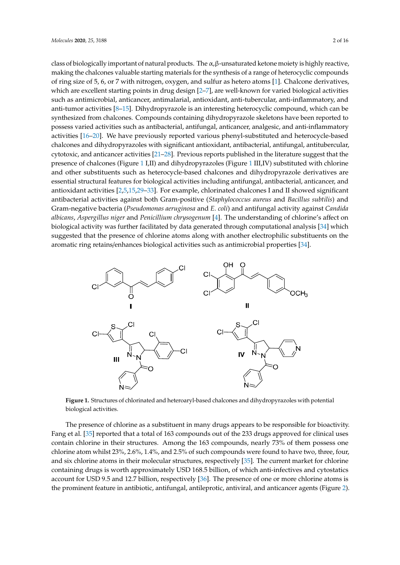class of biologically important of natural products. The  $\alpha$ ,β-unsaturated ketone moiety is highly reactive, making the chalcones valuable starting materials for the synthesis of a range of heterocyclic compounds of ring size of 5, 6, or 7 with nitrogen, oxygen, and sulfur as hetero atoms [1]. Chalcone derivatives, ‐ which are excellent starting points in drug design [2–7], are well-known for varied biological activities ‐ such as antimicrobial, anticancer, antimalarial, antioxidant, anti-tubercular, anti-inflammatory, and ‐ ‐ anti-tumor activities [8–15]. Dihydropyrazole is an interesting heterocyclic compound, which can be synthesized from chalcones. Compounds containing dihydropyrazole skeletons have been reported to possess varied activities such as antibacterial, antifungal, anticancer, analgesic, and anti-inflammatory ‐ activities [16–20]. We have previously reported various phenyl-substituted and heterocycle-based<br>chalcones and dihydropyrazoles with significant antioxidant, antibacterial, antifungal, antitubercular, cytotoxic, and anticancer activities [21–28]. Previous reports published in the literature suggest that the presence of chalcones (Figure 1 I,II) and dihydropyrazoles (Figure 1 III,IV) substituted with chlorine and other substituents such as heterocycle-based chalcones and dihydropyrazole derivatives are ‐ essential structural features for biological activities including antifungal, antibacterial, anticancer, and antioxidant activities [2,5,15,29–33]. For example, chlorinated chalcones I and II showed significant antibacterial activities against both Gram-positive (*Staphylococcus aureus* and *Bacillus subtilis*) and Gram-negative bacteria (*Pseudomonas aeruginosa* and *E. coli*) and antifungal activity against *Candida albicans*, *Aspergillus niger* and *Penicillium chrysogenum* [4]. The understanding of chlorine's affect on biological activity was further facilitated by data generated through computational analysis [34] which suggested that the presence of chlorine atoms along with another electrophilic substituents on the aromatic ring retains/enhances biological activities such as antimicrobial properties [34].



‐ **Figure 1.** Structures of chlorinated and heteroaryl-based chalcones and dihydropyrazoles with potential biological activities.

‐ containing drugs is worth approximately USD 168.5 billion, of which anti-infectives and cytostatics The presence of chlorine as a substituent in many drugs appears to be responsible for bioactivity. Fang et al. [35] reported that a total of 163 compounds out of the 233 drugs approved for clinical uses contain chlorine in their structures. Among the 163 compounds, nearly 73% of them possess one chlorine atom whilst 23%, 2.6%, 1.4%, and 2.5% of such compounds were found to have two, three, four, and six chlorine atoms in their molecular structures, respectively [35]. The current market for chlorine account for USD 9.5 and 12.7 billion, respectively [36]. The presence of one or more chlorine atoms is the prominent feature in antibiotic, antifungal, antileprotic, antiviral, and anticancer agents (Figure 2).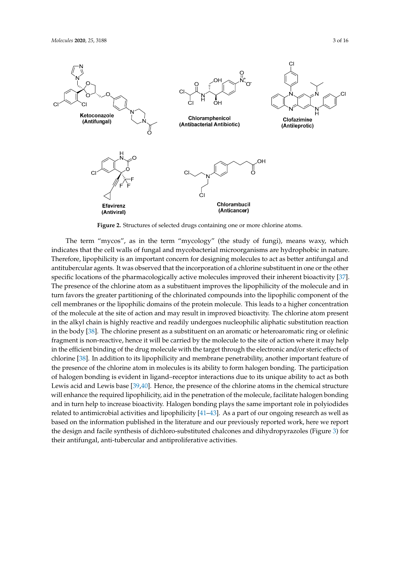

**Figure 2.** Structures of selected drugs containing one or more chlorine atoms.

‐ in the body [38]. The chlorine present as a substituent on an aromatic or heteroaromatic ring or olefinic ‐ the design and facile synthesis of dichloro-substituted chalcones and dihydropyrazoles (Figure 3) for ‐ their antifungal, anti-tubercular and antiproliferative activities.The term "mycos", as in the term "mycology" (the study of fungi), means waxy, which indicates that the cell walls of fungal and mycobacterial microorganisms are hydrophobic in nature. Therefore, lipophilicity is an important concern for designing molecules to act as better antifungal and antitubercular agents. It was observed that the incorporation of a chlorine substituent in one or the other specific locations of the pharmacologically active molecules improved their inherent bioactivity [37]. The presence of the chlorine atom as a substituent improves the lipophilicity of the molecule and in turn favors the greater partitioning of the chlorinated compounds into the lipophilic component of the cell membranes or the lipophilic domains of the protein molecule. This leads to a higher concentration of the molecule at the site of action and may result in improved bioactivity. The chlorine atom present in the alkyl chain is highly reactive and readily undergoes nucleophilic aliphatic substitution reaction fragment is non-reactive, hence it will be carried by the molecule to the site of action where it may help in the efficient binding of the drug molecule with the target through the electronic and/or steric effects of chlorine [38]. In addition to its lipophilicity and membrane penetrability, another important feature of the presence of the chlorine atom in molecules is its ability to form halogen bonding. The participation of halogen bonding is evident in ligand–receptor interactions due to its unique ability to act as both Lewis acid and Lewis base [39,40]. Hence, the presence of the chlorine atoms in the chemical structure will enhance the required lipophilicity, aid in the penetration of the molecule, facilitate halogen bonding and in turn help to increase bioactivity. Halogen bonding plays the same important role in polyiodides related to antimicrobial activities and lipophilicity [41–43]. As a part of our ongoing research as well as based on the information published in the literature and our previously reported work, here we report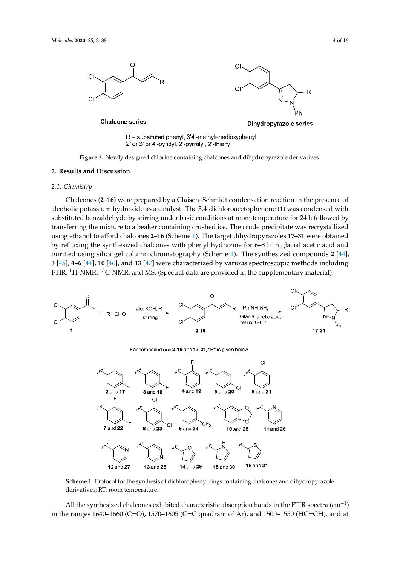

**Figure 3.** Newly designed chlorine containing chalcones and dihydropyrazole derivatives.

#### **2. Results and Discussion**

# *2.1. Chemistry*

‐ substituted benzaldehyde by stirring under basic conditions at room temperature for 24 h followed by FTIR, <sup>1</sup>H-NMR, <sup>13</sup>C-NMR, and MS. (Spectral data are provided in the supplementary material). Chalcones (**2**–**16**) were prepared by a Claisen–Schmidt condensation reaction in the presence of ‐ alcoholic potassium hydroxide as a catalyst. The 3,4-dichloroacetophenone (**1**) was condensed with transferring the mixture to a beaker containing crushed ice. The crude precipitate was recrystallized using ethanol to afford chalcones **2**–**16** (Scheme 1). The target dihydropyrazoles **17**–**31** were obtained by refluxing the synthesized chalcones with phenyl hydrazine for 6–8 h in glacial acetic acid and purified using silica gel column chromatography (Scheme 1). The synthesized compounds **2** [44], **3** [45], **4**–**6** [44], **10** [46], and **13** [47] were characterized by various spectroscopic methods including ‐ ‐



For compound nos 2-16 and 17-31, "R" is given below.



**Scheme 1.** Protocol for the synthesis of dichlorophenyl rings containing chalcones and dihydropyrazole derivatives; RT: room temperature.

− in the ranges 1640–1660 (C=O), 1570–1605 (C=C quadrant of Ar), and 1500–1550 (HC=CH), and atAll the synthesized chalcones exhibited characteristic absorption bands in the FTIR spectra (cm<sup>-1</sup>)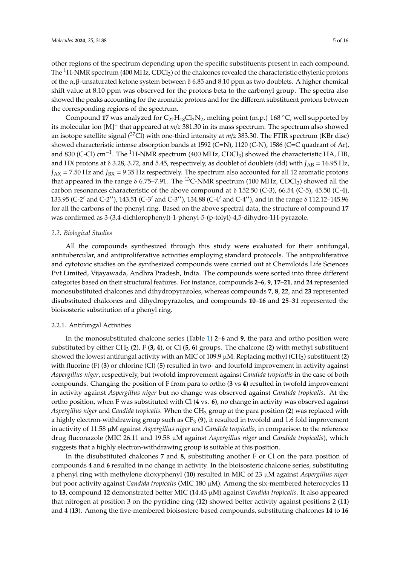other regions of the spectrum depending upon the specific substituents present in each compound. The  ${}^{1}$ H-NMR spectrum (400 MHz, CDCl<sub>3</sub>) of the chalcones revealed the characteristic ethylenic protons of the α,β-unsaturated ketone system between δ 6.85 and 8.10 ppm as two doublets. A higher chemical shift value at 8.10 ppm was observed for the protons beta to the carbonyl group. The spectra also showed the peaks accounting for the aromatic protons and for the different substituent protons between the corresponding regions of the spectrum.

Compound 17 was analyzed for  $C_{22}H_{18}Cl_2N_2$ , melting point (m.p.) 168 °C, well supported by its molecular ion [M]<sup>+</sup> that appeared at *m*/*z* 381.30 in its mass spectrum. The spectrum also showed an isotope satellite signal (37Cl) with one-third intensity at *m*/*z* 383.30. The FTIR spectrum (KBr disc) showed characteristic intense absorption bands at 1592 (C=N), 1120 (C-N), 1586 (C=C quadrant of Ar), and 830 (C-Cl) cm<sup>-1</sup>. The <sup>1</sup>H-NMR spectrum (400 MHz, CDCl<sub>3</sub>) showed the characteristic HA, HB, and HX protons at  $\delta$  3.28, 3.72, and 5.45, respectively, as doublet of doublets (dd) with  $J_{AB} = 16.95$  Hz,  $J_{AX}$  = 7.50 Hz and  $J_{BX}$  = 9.35 Hz respectively. The spectrum also accounted for all 12 aromatic protons that appeared in the range  $\delta$  6.75–7.91. The <sup>13</sup>C-NMR spectrum (100 MHz, CDCl<sub>3</sub>) showed all the carbon resonances characteristic of the above compound at  $\delta$  152.50 (C-3), 66.54 (C-5), 45.50 (C-4), 133.95 (C-2′ and C-2′′), 143.51 (C-3′ and C-3′′), 134.88 (C-4′ and C-4′′), and in the range δ 112.12–145.96 for all the carbons of the phenyl ring. Based on the above spectral data, the structure of compound **17** was confirmed as 3-(3,4-dichlorophenyl)-1-phenyl-5-(p-tolyl)-4,5-dihydro-1H-pyrazole.

#### *2.2. Biological Studies*

All the compounds synthesized through this study were evaluated for their antifungal, antitubercular, and antiproliferative activities employing standard protocols. The antiproliferative and cytotoxic studies on the synthesized compounds were carried out at Chemiloids Life Sciences Pvt Limited, Vijayawada, Andhra Pradesh, India. The compounds were sorted into three different categories based on their structural features. For instance, compounds **2**–**6**, **9**, **17**–**21**, and **24** represented monosubstituted chalcones and dihydropyrazoles, whereas compounds **7**, **8**, **22**, and **23** represented disubstituted chalcones and dihydropyrazoles, and compounds **10**–**16** and **25**–**31** represented the bioisosteric substitution of a phenyl ring.

#### 2.2.1. Antifungal Activities

In the monosubstituted chalcone series (Table 1) **2**–**6** and **9**, the para and ortho position were substituted by either CH<sup>3</sup> (**2**), F (**3, 4**), or Cl (**5**, **6**) groups. The chalcone (**2**) with methyl substituent showed the lowest antifungal activity with an MIC of 109.9  $\mu$ M. Replacing methyl (CH<sub>3</sub>) substituent (2) with fluorine (F) (**3**) or chlorine (Cl) (**5**) resulted in two- and fourfold improvement in activity against *Aspergillus niger*, respectively, but twofold improvement against *Candida tropicalis* in the case of both compounds. Changing the position of F from para to ortho (**3** vs **4**) resulted in twofold improvement in activity against *Aspergillus niger* but no change was observed against *Candida tropicalis*. At the ortho position, when F was substituted with Cl (**4** vs. **6**), no change in activity was observed against *Aspergillus niger* and *Candida tropicalis*. When the CH<sup>3</sup> group at the para position (**2**) was replaced with a highly electron-withdrawing group such as CF<sup>3</sup> (**9**), it resulted in twofold and 1.6 fold improvement in activity of 11.58 µM against *Aspergillus niger* and *Candida tropicalis*, in comparison to the reference drug fluconazole (MIC 26.11 and 19.58 µM against *Aspergillus niger* and *Candida tropicalis*), which suggests that a highly electron-withdrawing group is suitable at this position.

In the disubstituted chalcones **7** and **8**, substituting another F or Cl on the para position of compounds **4** and **6** resulted in no change in activity. In the bioisosteric chalcone series, substituting a phenyl ring with methylene dioxyphenyl (**10**) resulted in MIC of 23 µM against *Aspergillus niger* but poor activity against *Candida tropicalis* (MIC 180 µM). Among the six-membered heterocycles **11** to **13**, compound **12** demonstrated better MIC (14.43 µM) against *Candida tropicalis*. It also appeared that nitrogen at position 3 on the pyridine ring (**12**) showed better activity against positions 2 (**11**) and 4 (**13**). Among the five-membered bioisostere-based compounds, substituting chalcones **14** to **16**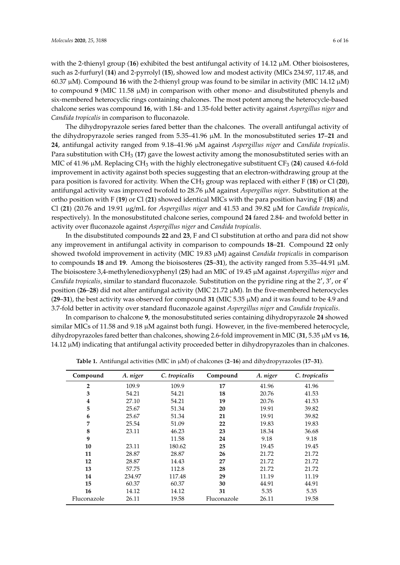with the 2-thienyl group (**16**) exhibited the best antifungal activity of 14.12  $\mu$ M. Other bioisosteres, such as 2-furfuryl (**14**) and 2-pyrrolyl (**15**), showed low and modest activity (MICs 234.97, 117.48, and 60.37 µM). Compound **16** with the 2-thienyl group was found to be similar in activity (MIC 14.12 µM) to compound **9** (MIC 11.58 µM) in comparison with other mono- and disubstituted phenyls and six-membered heterocyclic rings containing chalcones. The most potent among the heterocycle-based chalcone series was compound **16**, with 1.84- and 1.35-fold better activity against *Aspergillus niger* and *Candida tropicalis* in comparison to fluconazole.

The dihydropyrazole series fared better than the chalcones. The overall antifungal activity of the dihydropyrazole series ranged from 5.35–41.96 µM. In the monosubstituted series **17**–**21** and **24**, antifungal activity ranged from 9.18–41.96 µM against *Aspergillus niger* and *Candida tropicalis*. Para substitution with CH<sup>3</sup> (**17**) gave the lowest activity among the monosubstituted series with an MIC of 41.96 μM. Replacing CH<sub>3</sub> with the highly electronegative substituent CF<sub>3</sub> (**24**) caused 4.6-fold improvement in activity against both species suggesting that an electron-withdrawing group at the para position is favored for activity. When the CH<sup>3</sup> group was replaced with either F (**18**) or Cl (**20**), antifungal activity was improved twofold to 28.76 µM against *Aspergillus niger*. Substitution at the ortho position with F (**19**) or Cl (**21**) showed identical MICs with the para position having F (**18**) and Cl (**21**) (20.76 and 19.91 µg/mL for *Aspergillus niger* and 41.53 and 39.82 µM for *Candida tropicalis*, respectively). In the monosubstituted chalcone series, compound **24** fared 2.84- and twofold better in activity over fluconazole against *Aspergillus niger* and *Candida tropicalis*.

In the disubstituted compounds **22** and **23**, F and Cl substitution at ortho and para did not show any improvement in antifungal activity in comparison to compounds **18**–**21**. Compound **22** only showed twofold improvement in activity (MIC 19.83 µM) against *Candida tropicalis* in comparison to compounds **18** and **19**. Among the bioisosteres (**25**–**31**), the activity ranged from 5.35–44.91 µM. The bioisostere 3,4-methylenedioxyphenyl (**25**) had an MIC of 19.45 µM against *Aspergillus niger* and *Candida tropicalis*, similar to standard fluconazole. Substitution on the pyridine ring at the 2′ , 3′ , or 4′ position (**26**–**28**) did not alter antifungal activity (MIC 21.72 µM). In the five-membered heterocycles (**29**–**31**), the best activity was observed for compound **31** (MIC 5.35 µM) and it was found to be 4.9 and 3.7-fold better in activity over standard fluconazole against *Aspergillus niger* and *Candida tropicalis*.

In comparison to chalcone **9**, the monosubstituted series containing dihydropyrazole **24** showed similar MICs of 11.58 and 9.18 µM against both fungi. However, in the five-membered heterocycle, dihydropyrazoles fared better than chalcones, showing 2.6-fold improvement in MIC (**31**, 5.35 µM vs **16**, 14.12 µM) indicating that antifungal activity proceeded better in dihydropyrazoles than in chalcones.

| Compound         | A. niger | C. tropicalis | Compound    | A. niger | C. tropicalis |
|------------------|----------|---------------|-------------|----------|---------------|
| $\overline{2}$   | 109.9    | 109.9         | 17          | 41.96    | 41.96         |
| 3                | 54.21    | 54.21         | 18          | 20.76    | 41.53         |
| $\boldsymbol{4}$ | 27.10    | 54.21         | 19          | 20.76    | 41.53         |
| 5                | 25.67    | 51.34         | 20          | 19.91    | 39.82         |
| 6                | 25.67    | 51.34         | 21          | 19.91    | 39.82         |
| 7                | 25.54    | 51.09         | 22          | 19.83    | 19.83         |
| 8                | 23.11    | 46.23         | 23          | 18.34    | 36.68         |
| 9                |          | 11.58         | 24          | 9.18     | 9.18          |
| 10               | 23.11    | 180.62        | 25          | 19.45    | 19.45         |
| 11               | 28.87    | 28.87         | 26          | 21.72    | 21.72         |
| 12               | 28.87    | 14.43         | 27          | 21.72    | 21.72         |
| 13               | 57.75    | 112.8         | 28          | 21.72    | 21.72         |
| 14               | 234.97   | 117.48        | 29          | 11.19    | 11.19         |
| 15               | 60.37    | 60.37         | 30          | 44.91    | 44.91         |
| 16               | 14.12    | 14.12         | 31          | 5.35     | 5.35          |
| Fluconazole      | 26.11    | 19.58         | Fluconazole | 26.11    | 19.58         |

**Table 1.** Antifungal activities (MIC in µM) of chalcones (**2**–**16**) and dihydropyrazoles (**17**–**31**).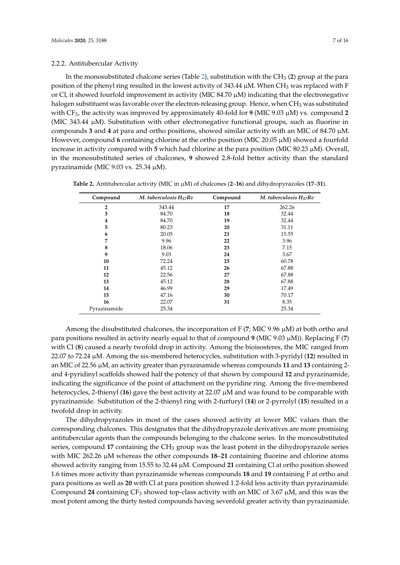### 2.2.2. Antitubercular Activity

In the monosubstituted chalcone series (Table 2), substitution with the  $CH<sub>3</sub>$  (2) group at the para position of the phenyl ring resulted in the lowest activity of 343.44  $\mu$ M. When CH<sub>3</sub> was replaced with F or Cl, it showed fourfold improvement in activity (MIC 84.70 µM) indicating that the electronegative halogen substituent was favorable over the electron-releasing group. Hence, when CH<sub>3</sub> was substituted with CF3, the activity was improved by approximately 40-fold for **9** (MIC 9.03 µM) vs. compound **2** (MIC 343.44 µM). Substitution with other electronegative functional groups, such as fluorine in compounds **3** and **4** at para and ortho positions, showed similar activity with an MIC of 84.70  $\mu$ M. However, compound **6** containing chlorine at the ortho position (MIC 20.05  $\mu$ M) showed a fourfold increase in activity compared with **5** which had chlorine at the para position (MIC 80.23 µM). Overall, in the monosubstituted series of chalcones, **9** showed 2.8-fold better activity than the standard pyrazinamide (MIC 9.03 vs. 25.34 µM).

| Compound       | M. tuberculosis $H_{37}Rv$ | Compound | M. tuberculosis $H_{37}Rv$ |
|----------------|----------------------------|----------|----------------------------|
| $\overline{2}$ | 343.44                     | 17       | 262.26                     |
| 3              | 84.70                      | 18       | 32.44                      |
| 4              | 84.70                      | 19       | 32.44                      |
| 5              | 80.23                      | 20       | 31.11                      |
| 6              | 20.05                      | 21       | 15.55                      |
| 7              | 9.96                       | 22       | 3.96                       |
| 8              | 18.06                      | 23       | 7.15                       |
| 9              | 9.03                       | 24       | 3.67                       |
| 10             | 72.24                      | 25       | 60.78                      |
| 11             | 45.12                      | 26       | 67.88                      |
| 12             | 22.56                      | 27       | 67.88                      |
| 13             | 45.12                      | 28       | 67.88                      |
| 14             | 46.99                      | 29       | 17.49                      |
| 15             | 47.16                      | 30       | 70.17                      |
| 16             | 22.07                      | 31       | 8.35                       |
| Pyrazinamide   | 25.34                      |          | 25.34                      |

**Table 2.** Antitubercular activity (MIC in µM) of chalcones (**2**–**16**) and dihydropyrazoles (**17**–**31**).

Among the disubstituted chalcones, the incorporation of F (**7**; MIC 9.96 µM) at both ortho and para positions resulted in activity nearly equal to that of compound **9** (MIC 9.03 µM)). Replacing F (**7**) with Cl (**8**) caused a nearly twofold drop in activity. Among the bioisosteres, the MIC ranged from 22.07 to 72.24 µM. Among the six-membered heterocycles, substitution with 3-pyridyl (**12**) resulted in an MIC of 22.56 µM, an activity greater than pyrazinamide whereas compounds **11** and **13** containing 2 and 4-pyridinyl scaffolds showed half the potency of that shown by compound **12** and pyrazinamide, indicating the significance of the point of attachment on the pyridine ring. Among the five-membered heterocycles, 2-thienyl (**16**) gave the best activity at 22.07 µM and was found to be comparable with pyrazinamide. Substitution of the 2-thienyl ring with 2-furfuryl (**14**) or 2-pyrrolyl (**15**) resulted in a twofold drop in activity.

The dihydropyrazoles in most of the cases showed activity at lower MIC values than the corresponding chalcones. This designates that the dihydropyrazole derivatives are more promising antitubercular agents than the compounds belonging to the chalcone series. In the monosubstituted series, compound 17 containing the  $CH<sub>3</sub>$  group was the least potent in the dihydropyrazole series with MIC 262.26 µM whereas the other compounds **18**–**21** containing fluorine and chlorine atoms showed activity ranging from 15.55 to 32.44 µM. Compound **21** containing Cl at ortho position showed 1.6 times more activity than pyrazinamide whereas compounds **18** and **19** containing F at ortho and para positions as well as **20** with Cl at para position showed 1.2-fold less activity than pyrazinamide. Compound 24 containing  $CF_3$  showed top-class activity with an MIC of 3.67  $\mu$ M, and this was the most potent among the thirty tested compounds having sevenfold greater activity than pyrazinamide.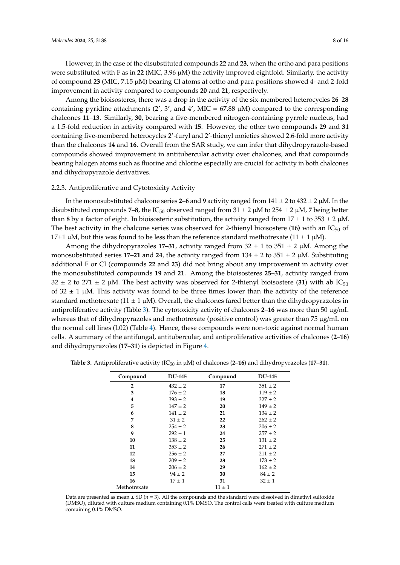However, in the case of the disubstituted compounds **22** and **23**, when the ortho and para positions were substituted with F as in **22** (MIC, 3.96 µM) the activity improved eightfold. Similarly, the activity of compound **23** (MIC, 7.15 µM) bearing Cl atoms at ortho and para positions showed 4- and 2-fold improvement in activity compared to compounds **20** and **21**, respectively.

Among the bioisosteres, there was a drop in the activity of the six-membered heterocycles **26**–**28** containing pyridine attachments  $(2', 3',$  and  $4',$  MIC = 67.88  $\mu$ M) compared to the corresponding chalcones **11**–**13**. Similarly, **30**, bearing a five-membered nitrogen-containing pyrrole nucleus, had a 1.5-fold reduction in activity compared with **15**. However, the other two compounds **29** and **31** containing five-membered heterocycles 2′ -furyl and 2′ -thienyl moieties showed 2.6-fold more activity than the chalcones **14** and **16**. Overall from the SAR study, we can infer that dihydropyrazole-based compounds showed improvement in antitubercular activity over chalcones, and that compounds bearing halogen atoms such as fluorine and chlorine especially are crucial for activity in both chalcones and dihydropyrazole derivatives.

## 2.2.3. Antiproliferative and Cytotoxicity Activity

In the monosubstituted chalcone series **2–6** and **9** activity ranged from  $141 \pm 2$  to  $432 \pm 2$  µM. In the disubstituted compounds **7–8**, the IC<sub>50</sub> observed ranged from  $31 \pm 2 \mu M$  to  $254 \pm 2 \mu M$ , **7** being better than 8 by a factor of eight. In bioisosteric substitution, the activity ranged from  $17 \pm 1$  to  $353 \pm 2$   $\mu$ M. The best activity in the chalcone series was observed for 2-thienyl bioisostere (16) with an IC<sub>50</sub> of 17±1  $\mu$ M, but this was found to be less than the reference standard methotrexate (11 ± 1  $\mu$ M).

Among the dihydropyrazoles 17–31, activity ranged from  $32 \pm 1$  to  $351 \pm 2 \mu M$ . Among the monosubstituted series **17–21** and **24**, the activity ranged from  $134 \pm 2$  to  $351 \pm 2$  µM. Substituting additional F or Cl (compounds **22** and **23**) did not bring about any improvement in activity over the monosubstituted compounds **19** and **21**. Among the bioisosteres **25**–**31**, activity ranged from  $32 \pm 2$  to  $271 \pm 2$  µM. The best activity was observed for 2-thienyl bioisostere (31) with ab IC<sub>50</sub> of  $32 \pm 1$  µM. This activity was found to be three times lower than the activity of the reference standard methotrexate (11  $\pm$  1  $\mu$ M). Overall, the chalcones fared better than the dihydropyrazoles in antiproliferative activity (Table 3). The cytotoxicity activity of chalcones **2**–**16** was more than 50 µg/mL whereas that of dihydropyrazoles and methotrexate (positive control) was greater than 75 µg/mL on the normal cell lines (L02) (Table 4). Hence, these compounds were non-toxic against normal human cells. A summary of the antifungal, antitubercular, and antiproliferative activities of chalcones (**2**–**16**) and dihydropyrazoles (**17**–**31**) is depicted in Figure 4.

| Compound       | <b>DU-145</b> | Compound   | <b>DU-145</b> |
|----------------|---------------|------------|---------------|
| $\overline{2}$ | $432 \pm 2$   | 17         | $351 \pm 2$   |
| 3              | $176 \pm 2$   | 18         | $119 \pm 2$   |
| 4              | $393 + 2$     | 19         | $327 + 2$     |
| 5              | $147 \pm 2$   | 20         | $149 \pm 2$   |
| 6              | $141 \pm 2$   | 21         | $134 \pm 2$   |
| 7              | $31 \pm 2$    | 22         | $262 + 2$     |
| 8              | $254 \pm 2$   | 23         | $206 \pm 2$   |
| 9              | $292 \pm 1$   | 24         | $257 \pm 2$   |
| 10             | $138 \pm 2$   | 25         | $131 \pm 2$   |
| 11             | $353 \pm 2$   | 26         | $271 \pm 2$   |
| 12             | $256 \pm 2$   | 27         | $211 \pm 2$   |
| 13             | $209 \pm 2$   | 28         | $173 \pm 2$   |
| 14             | $206 \pm 2$   | 29         | $162 \pm 2$   |
| 15             | $94 \pm 2$    | 30         | $84 \pm 2$    |
| 16             | $17 \pm 1$    | 31         | $32 \pm 1$    |
| Methotrexate   |               | $11 \pm 1$ |               |

**Table 3.** Antiproliferative activity ( $IC_{50}$  in  $\mu$ M) of chalcones (2–16) and dihydropyrazoles (17–31).

Data are presented as mean  $\pm$  SD ( $n = 3$ ). All the compounds and the standard were dissolved in dimethyl sulfoxide (DMSO), diluted with culture medium containing 0.1% DMSO. The control cells were treated with culture medium containing 0.1% DMSO.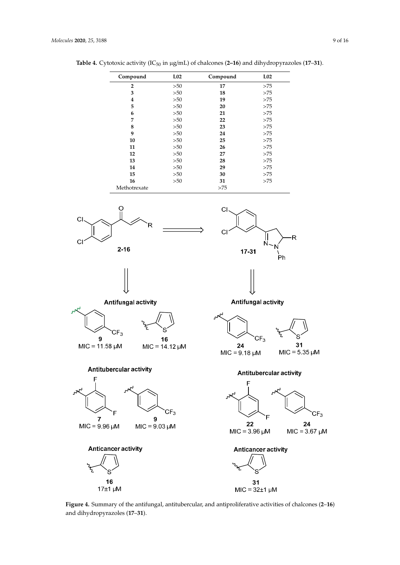| Compound       | L <sub>02</sub> | Compound | L <sub>02</sub> |
|----------------|-----------------|----------|-----------------|
| $\overline{2}$ | >50             | 17       | >75             |
| 3              | >50             | 18       | >75             |
| 4              | >50             | 19       | >75             |
| 5              | >50             | 20       | >75             |
| 6              | >50             | 21       | >75             |
| 7              | >50             | 22       | >75             |
| 8              | >50             | 23       | >75             |
| 9              | >50             | 24       | >75             |
| 10             | >50             | 25       | >75             |
| 11             | >50             | 26       | >75             |
| 12             | >50             | 27       | >75             |
| 13             | >50             | 28       | >75             |
| 14             | >50             | 29       | >75             |
| 15             | >50             | 30       | >75             |
| 16             | >50             | 31       | >75             |
| Methotrexate   |                 | >75      |                 |

Table 4. Cytotoxic activity (IC<sub>50</sub> in µg/mL) of chalcones (2-16) and dihydropyrazoles (17-31).



**Figure 4.** Summary of the antifungal, antitubercular, and antiproliferative activities of chalcones (**2**–**16**) and dihydropyrazoles (**17**–**31**).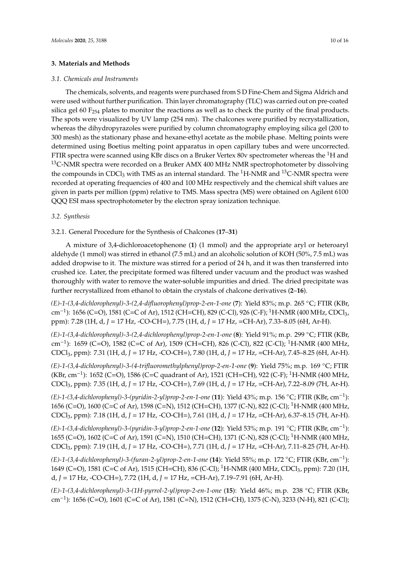# **3. Materials and Methods**

#### *3.1. Chemicals and Instruments*

The chemicals, solvents, and reagents were purchased from S D Fine-Chem and Sigma Aldrich and were used without further purification. Thin layer chromatography (TLC) was carried out on pre-coated silica gel 60 F<sub>254</sub> plates to monitor the reactions as well as to check the purity of the final products. The spots were visualized by UV lamp (254 nm). The chalcones were purified by recrystallization, whereas the dihydropyrazoles were purified by column chromatography employing silica gel (200 to 300 mesh) as the stationary phase and hexane-ethyl acetate as the mobile phase. Melting points were determined using Boetius melting point apparatus in open capillary tubes and were uncorrected. FTIR spectra were scanned using KBr discs on a Bruker Vertex 80v spectrometer whereas the <sup>1</sup>H and <sup>13</sup>C-NMR spectra were recorded on a Bruker AMX 400 MHz NMR spectrophotometer by dissolving the compounds in CDCl<sub>3</sub> with TMS as an internal standard. The <sup>1</sup>H-NMR and <sup>13</sup>C-NMR spectra were recorded at operating frequencies of 400 and 100 MHz respectively and the chemical shift values are given in parts per million (ppm) relative to TMS. Mass spectra (MS) were obtained on Agilent 6100 QQQ ESI mass spectrophotometer by the electron spray ionization technique.

# *3.2. Synthesis*

## 3.2.1. General Procedure for the Synthesis of Chalcones (**17**–**31**)

A mixture of 3,4-dichloroacetophenone (**1**) (1 mmol) and the appropriate aryl or heteroaryl aldehyde (1 mmol) was stirred in ethanol (7.5 mL) and an alcoholic solution of KOH (50%, 7.5 mL) was added dropwise to it. The mixture was stirred for a period of 24 h, and it was then transferred into crushed ice. Later, the precipitate formed was filtered under vacuum and the product was washed thoroughly with water to remove the water-soluble impurities and dried. The dried precipitate was further recrystallized from ethanol to obtain the crystals of chalcone derivatives (**2**–**16**).

*(E)-1-(3,4-dichlorophenyl)-3-(2,4-difluorophenyl)prop-2-en-1-one* (**7**): Yield 83%; m.p. 265 ◦C; FTIR (KBr, cm<sup>−1</sup>): 1656 (C=O), 1581 (C=C of Ar), 1512 (CH=CH), 829 (C-Cl), 926 (C-F); <sup>1</sup>H-NMR (400 MHz, CDCl<sub>3</sub>, ppm): 7.28 (1H, d, *J* = 17 Hz, -CO-CH=), 7.75 (1H, d, *J* = 17 Hz, =CH-Ar), 7.33–8.05 (6H, Ar-H).

*(E)-1-(3,4-dichlorophenyl)-3-(2,4-dichlorophenyl)prop-2-en-1-one* (**8**): Yield 91%; m.p. 299 ◦C; FTIR (KBr, cm<sup>-1</sup>): 1659 (C=O), 1582 (C=C of Ar), 1509 (CH=CH), 826 (C-Cl), 822 (C-Cl); <sup>1</sup>H-NMR (400 MHz, CDCl3, ppm): 7.31 (1H, d, *J* = 17 Hz, -CO-CH=), 7.80 (1H, d, *J* = 17 Hz, =CH-Ar), 7.45–8.25 (6H, Ar-H).

*(E)-1-(3,4-dichlorophenyl)-3-(4-trifluoromethylphenyl)prop-2-en-1-one* (**9**): Yield 75%; m.p. 169 ◦C; FTIR (KBr, cm<sup>-1</sup>): 1652 (C=O), 1586 (C=C quadrant of Ar), 1521 (CH=CH), 922 (C-F); <sup>1</sup>H-NMR (400 MHz, CDCl3, ppm): 7.35 (1H, d, *J* = 17 Hz, -CO-CH=), 7.69 (1H, d, *J* = 17 Hz, =CH-Ar), 7.22–8.09 (7H, Ar-H).

*(E)-1-(3,4-dichlorophenyl)-3-(pyridin-2-yl)prop-2-en-1-one* (**11**): Yield 43%; m.p. 156 ◦C; FTIR (KBr, cm−<sup>1</sup> ): 1656 (C=O), 1600 (C=C of Ar), 1598 (C=N), 1512 (CH=CH), 1377 (C-N), 822 (C-Cl); <sup>1</sup>H-NMR (400 MHz, CDCl3, ppm): 7.18 (1H, d, *J* = 17 Hz, -CO-CH=), 7.61 (1H, d, *J* = 17 Hz, =CH-Ar), 6.37–8.15 (7H, Ar-H).

*(E)-1-(3,4-dichlorophenyl)-3-(pyridin-3-yl)prop-2-en-1-one* (**12**): Yield 53%; m.p. 191 ◦C; FTIR (KBr, cm−<sup>1</sup> ): 1655 (C=O), 1602 (C=C of Ar), 1591 (C=N), 1510 (CH=CH), 1371 (C-N), 828 (C-Cl); <sup>1</sup>H-NMR (400 MHz, CDCl3, ppm): 7.19 (1H, d, *J* = 17 Hz, -CO-CH=), 7.71 (1H, d, *J* = 17 Hz, =CH-Ar), 7.11–8.25 (7H, Ar-H).

*(E)-1-(3,4-dichlorophenyl)-3-(furan-2-yl)prop-2-en-1-one* (**14**): Yield 55%; m.p. 172 ◦C; FTIR (KBr, cm−<sup>1</sup> ): 1649 (C=O), 1581 (C=C of Ar), 1515 (CH=CH), 836 (C-Cl); <sup>1</sup>H-NMR (400 MHz, CDCl<sub>3</sub>, ppm): 7.20 (1H, d, *J* = 17 Hz, -CO-CH=), 7.72 (1H, d, *J* = 17 Hz, =CH-Ar), 7.19–7.91 (6H, Ar-H).

*(E)-1-(3,4-dichlorophenyl)-3-(1H-pyrrol-2-yl)prop-2-en-1-one* (**15**): Yield 46%; m.p. 238 ◦C; FTIR (KBr, cm<sup>-1</sup>): 1656 (C=O), 1601 (C=C of Ar), 1581 (C=N), 1512 (CH=CH), 1375 (C-N), 3233 (N-H), 821 (C-Cl);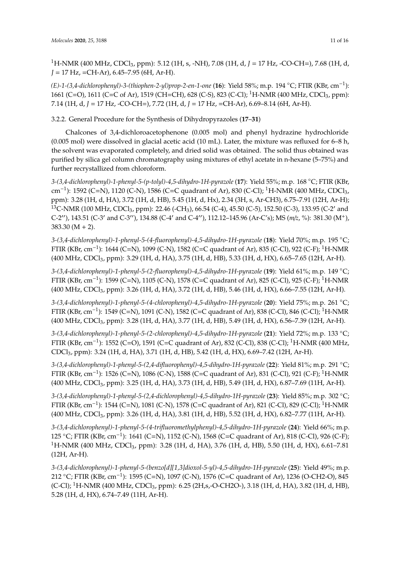<sup>1</sup>H-NMR (400 MHz, CDCl3, ppm): 5.12 (1H, s, -NH), 7.08 (1H, d, *J* = 17 Hz, -CO-CH=), 7.68 (1H, d, *J* = 17 Hz, =CH-Ar), 6.45–7.95 (6H, Ar-H).

*(E)-1-(3,4-dichlorophenyl)-3-(thiophen-2-yl)prop-2-en-1-one* (**16**): Yield 58%; m.p. 194 ◦C; FTIR (KBr, cm−<sup>1</sup> ): 1661 (C=O), 1611 (C=C of Ar), 1519 (CH=CH), 628 (C-S), 823 (C-Cl); <sup>1</sup>H-NMR (400 MHz, CDCl<sub>3</sub>, ppm): 7.14 (1H, d, *J* = 17 Hz, -CO-CH=), 7.72 (1H, d, *J* = 17 Hz, =CH-Ar), 6.69–8.14 (6H, Ar-H).

3.2.2. General Procedure for the Synthesis of Dihydropyrazoles (**17**–**31**)

Chalcones of 3,4-dichloroacetophenone (0.005 mol) and phenyl hydrazine hydrochloride (0.005 mol) were dissolved in glacial acetic acid (10 mL). Later, the mixture was refluxed for 6–8 h, the solvent was evaporated completely, and dried solid was obtained. The solid thus obtained was purified by silica gel column chromatography using mixtures of ethyl acetate in n-hexane (5–75%) and further recrystallized from chloroform.

*3-(3,4-dichlorophenyl)-1-phenyl-5-(p-tolyl)-4,5-dihydro-1H-pyrazole* (**17**): Yield 55%; m.p. 168 ◦C; FTIR (KBr, cm<sup>−1</sup>): 1592 (C=N), 1120 (C-N), 1586 (C=C quadrant of Ar), 830 (C-Cl); <sup>1</sup>H-NMR (400 MHz, CDCl<sub>3</sub>, ppm): 3.28 (1H, d, HA), 3.72 (1H, d, HB), 5.45 (1H, d, Hx), 2.34 (3H, s, Ar-CH3), 6.75–7.91 (12H, Ar-H);  $13C$ -NMR (100 MHz, CDCl<sub>3</sub>, ppm): 22.46 (-CH<sub>3</sub>), 66.54 (C-4), 45.50 (C-5), 152.50 (C-3), 133.95 (C-2' and C-2′′), 143.51 (C-3′ and C-3′′), 134.88 (C-4′ and C-4′′), 112.12–145.96 (Ar-C's); MS (*m*/*z*, %): 381.30 (M+),  $383.30 (M + 2)$ .

*3-(3,4-dichlorophenyl)-1-phenyl-5-(4-fluorophenyl)-4,5-dihydro-1H-pyrazole* (**18**): Yield 70%; m.p. 195 ◦C; FTIR (KBr, cm−<sup>1</sup> ): 1644 (C=N), 1099 (C-N), 1582 (C=C quadrant of Ar), 835 (C-Cl), 922 (C-F); <sup>1</sup>H-NMR (400 MHz, CDCl3, ppm): 3.29 (1H, d, HA), 3.75 (1H, d, HB), 5.33 (1H, d, HX), 6.65–7.65 (12H, Ar-H).

*3-(3,4-dichlorophenyl)-1-phenyl-5-(2-fluorophenyl)-4,5-dihydro-1H-pyrazole* (**19**): Yield 61%; m.p. 149 ◦C; FTIR (KBr, cm<sup>-1</sup>): 1599 (C=N), 1105 (C-N), 1578 (C=C quadrant of Ar), 825 (C-Cl), 925 (C-F); <sup>1</sup>H-NMR (400 MHz, CDCl3, ppm): 3.26 (1H, d, HA), 3.72 (1H, d, HB), 5.46 (1H, d, HX), 6.66–7.55 (12H, Ar-H).

*3-(3,4-dichlorophenyl)-1-phenyl-5-(4-chlorophenyl)-4,5-dihydro-1H-pyrazole* (**20**): Yield 75%; m.p. 261 ◦C; FTIR (KBr, cm<sup>-1</sup>): 1549 (C=N), 1091 (C-N), 1582 (C=C quadrant of Ar), 838 (C-Cl), 846 (C-Cl); <sup>1</sup>H-NMR (400 MHz, CDCl3, ppm): 3.28 (1H, d, HA), 3.77 (1H, d, HB), 5.49 (1H, d, HX), 6.56–7.39 (12H, Ar-H).

*3-(3,4-dichlorophenyl)-1-phenyl-5-(2-chlorophenyl)-4,5-dihydro-1H-pyrazole* (**21**): Yield 72%; m.p. 133 ◦C; FTIR (KBr, cm−<sup>1</sup> ): 1552 (C=O), 1591 (C=C quadrant of Ar), 832 (C-Cl), 838 (C-Cl); <sup>1</sup>H-NMR (400 MHz, CDCl3, ppm): 3.24 (1H, d, HA), 3.71 (1H, d, HB), 5.42 (1H, d, HX), 6.69–7.42 (12H, Ar-H).

*3-(3,4-dichlorophenyl)-1-phenyl-5-(2,4-difluorophenyl)-4,5-dihydro-1H-pyrazole* (**22**): Yield 81%; m.p. 291 ◦C; FTIR (KBr, cm<sup>-1</sup>): 1526 (C=N), 1086 (C-N), 1588 (C=C quadrant of Ar), 831 (C-Cl), 921 (C-F); <sup>1</sup>H-NMR (400 MHz, CDCl3, ppm): 3.25 (1H, d, HA), 3.73 (1H, d, HB), 5.49 (1H, d, HX), 6.87–7.69 (11H, Ar-H).

*3-(3,4-dichlorophenyl)-1-phenyl-5-(2,4-dichlorophenyl)-4,5-dihydro-1H-pyrazole* (**23**): Yield 85%; m.p. 302 ◦C; FTIR (KBr, cm−<sup>1</sup> ): 1544 (C=N), 1081 (C-N), 1578 (C=C quadrant of Ar), 821 (C-Cl), 829 (C-Cl); <sup>1</sup>H-NMR (400 MHz, CDCl3, ppm): 3.26 (1H, d, HA), 3.81 (1H, d, HB), 5.52 (1H, d, HX), 6.82–7.77 (11H, Ar-H).

*3-(3,4-dichlorophenyl)-1-phenyl-5-(4-trifluoromethylphenyl)-4,5-dihydro-1H-pyrazole* (**24**): Yield 66%; m.p. 125 °C; FTIR (KBr, cm<sup>-1</sup>): 1641 (C=N), 1152 (C-N), 1568 (C=C quadrant of Ar), 818 (C-Cl), 926 (C-F); <sup>1</sup>H-NMR (400 MHz, CDCl<sub>3</sub>, ppm): 3.28 (1H, d, HA), 3.76 (1H, d, HB), 5.50 (1H, d, HX), 6.61–7.81 (12H, Ar-H).

*3-(3,4-dichlorophenyl)-1-phenyl-5-(benzo[d][1,3]dioxol-5-yl)-4,5-dihydro-1H-pyrazole* (**25**): Yield 49%; m.p. 212 °C; FTIR (KBr, cm<sup>-1</sup>): 1595 (C=N), 1097 (C-N), 1576 (C=C quadrant of Ar), 1236 (O-CH2-O), 845 (C-Cl); <sup>1</sup>H-NMR (400 MHz, CDCl3, ppm): 6.25 (2H,s,-O-CH2O-), 3.18 (1H, d, HA), 3.82 (1H, d, HB), 5.28 (1H, d, HX), 6.74–7.49 (11H, Ar-H).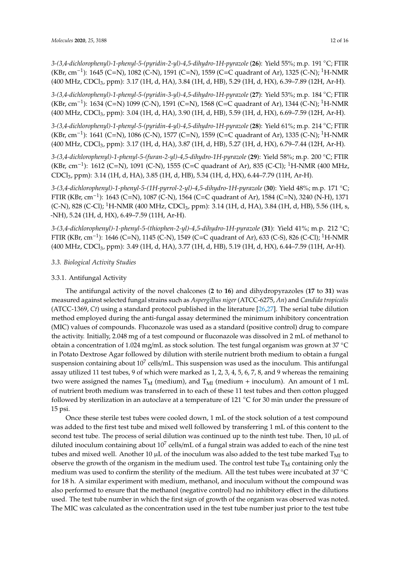*3-(3,4-dichlorophenyl)-1-phenyl-5-(pyridin-2-yl)-4,5-dihydro-1H-pyrazole* (**26**): Yield 55%; m.p. 191 ◦C; FTIR (KBr, cm<sup>-1</sup>): 1645 (C=N), 1082 (C-N), 1591 (C=N), 1559 (C=C quadrant of Ar), 1325 (C-N); <sup>1</sup>H-NMR (400 MHz, CDCl3, ppm): 3.17 (1H, d, HA), 3.84 (1H, d, HB), 5.29 (1H, d, HX), 6.39–7.89 (12H, Ar-H).

*3-(3,4-dichlorophenyl)-1-phenyl-5-(pyridin-3-yl)-4,5-dihydro-1H-pyrazole* (**27**): Yield 53%; m.p. 184 ◦C; FTIR (KBr, cm−<sup>1</sup> ): 1634 (C=N) 1099 (C-N), 1591 (C=N), 1568 (C=C quadrant of Ar), 1344 (C-N); <sup>1</sup>H-NMR (400 MHz, CDCl3, ppm): 3.04 (1H, d, HA), 3.90 (1H, d, HB), 5.59 (1H, d, HX), 6.69–7.59 (12H, Ar-H).

*3-(3,4-dichlorophenyl)-1-phenyl-5-(pyridin-4-yl)-4,5-dihydro-1H-pyrazole* (**28**): Yield 61%; m.p. 214 ◦C; FTIR (KBr, cm<sup>-1</sup>): 1641 (C=N), 1086 (C-N), 1577 (C=N), 1559 (C=C quadrant of Ar), 1335 (C-N); <sup>1</sup>H-NMR (400 MHz, CDCl3, ppm): 3.17 (1H, d, HA), 3.87 (1H, d, HB), 5.27 (1H, d, HX), 6.79–7.44 (12H, Ar-H).

*3-(3,4-dichlorophenyl)-1-phenyl-5-(furan-2-yl)-4,5-dihydro-1H-pyrazole* (**29**): Yield 58%; m.p. 200 ◦C; FTIR (KBr, cm<sup>-1</sup>): 1612 (C=N), 1091 (C-N), 1555 (C=C quadrant of Ar), 835 (C-Cl); <sup>1</sup>H-NMR (400 MHz, CDCl3, ppm): 3.14 (1H, d, HA), 3.85 (1H, d, HB), 5.34 (1H, d, HX), 6.44–7.79 (11H, Ar-H).

*3-(3,4-dichlorophenyl)-1-phenyl-5-(1H-pyrrol-2-yl)-4,5-dihydro-1H-pyrazole* (**30**): Yield 48%; m.p. 171 ◦C; FTIR (KBr, cm−<sup>1</sup> ): 1643 (C=N), 1087 (C-N), 1564 (C=C quadrant of Ar), 1584 (C=N), 3240 (N-H), 1371 (C-N), 828 (C-Cl); <sup>1</sup>H-NMR (400 MHz, CDCl<sub>3</sub>, ppm): 3.14 (1H, d, HA), 3.84 (1H, d, HB), 5.56 (1H, s, -NH), 5.24 (1H, d, HX), 6.49–7.59 (11H, Ar-H).

*3-(3,4-dichlorophenyl)-1-phenyl-5-(thiophen-2-yl)-4,5-dihydro-1H-pyrazole* (**31**): Yield 41%; m.p. 212 ◦C; FTIR (KBr, cm−<sup>1</sup> ): 1646 (C=N), 1145 (C-N), 1549 (C=C quadrant of Ar), 633 (C-S), 826 (C-Cl); <sup>1</sup>H-NMR (400 MHz, CDCl3, ppm): 3.49 (1H, d, HA), 3.77 (1H, d, HB), 5.19 (1H, d, HX), 6.44–7.59 (11H, Ar-H).

# *3.3. Biological Activity Studies*

# 3.3.1. Antifungal Activity

The antifungal activity of the novel chalcones (**2** to **16**) and dihydropyrazoles (**17** to **31**) was measured against selected fungal strains such as *Aspergillus niger* (ATCC-6275, *An*) and *Candida tropicalis* (ATCC-1369, *Ct*) using a standard protocol published in the literature [26,27]. The serial tube dilution method employed during the anti-fungal assay determined the minimum inhibitory concentration (MIC) values of compounds. Fluconazole was used as a standard (positive control) drug to compare the activity. Initially, 2.048 mg of a test compound or fluconazole was dissolved in 2 mL of methanol to obtain a concentration of 1.024 mg/mL as stock solution. The test fungal organism was grown at 37 ◦C in Potato Dextrose Agar followed by dilution with sterile nutrient broth medium to obtain a fungal suspension containing about  $10^7$  cells/mL. This suspension was used as the inoculum. This antifungal assay utilized 11 test tubes, 9 of which were marked as 1, 2, 3, 4, 5, 6, 7, 8, and 9 whereas the remaining two were assigned the names  $T_M$  (medium), and  $T_{MI}$  (medium + inoculum). An amount of 1 mL of nutrient broth medium was transferred in to each of these 11 test tubes and then cotton plugged followed by sterilization in an autoclave at a temperature of 121 ◦C for 30 min under the pressure of 15 psi.

Once these sterile test tubes were cooled down, 1 mL of the stock solution of a test compound was added to the first test tube and mixed well followed by transferring 1 mL of this content to the second test tube. The process of serial dilution was continued up to the ninth test tube. Then, 10 µL of diluted inoculum containing about  $10^7$  cells/mL of a fungal strain was added to each of the nine test tubes and mixed well. Another 10  $\mu$ L of the inoculum was also added to the test tube marked T<sub>MI</sub> to observe the growth of the organism in the medium used. The control test tube  $T_M$  containing only the medium was used to confirm the sterility of the medium. All the test tubes were incubated at 37 ◦C for 18 h. A similar experiment with medium, methanol, and inoculum without the compound was also performed to ensure that the methanol (negative control) had no inhibitory effect in the dilutions used. The test tube number in which the first sign of growth of the organism was observed was noted. The MIC was calculated as the concentration used in the test tube number just prior to the test tube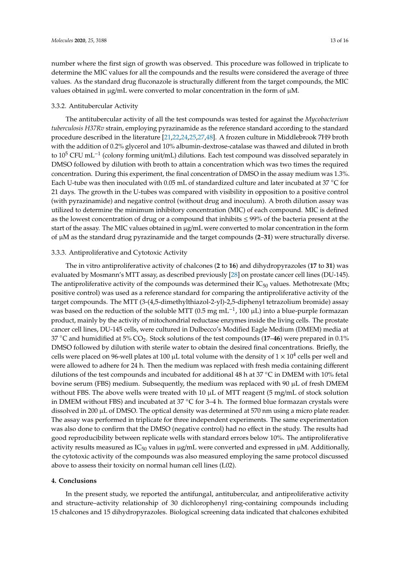number where the first sign of growth was observed. This procedure was followed in triplicate to determine the MIC values for all the compounds and the results were considered the average of three values. As the standard drug fluconazole is structurally different from the target compounds, the MIC values obtained in  $\mu$ g/mL were converted to molar concentration in the form of  $\mu$ M.

#### 3.3.2. Antitubercular Activity

The antitubercular activity of all the test compounds was tested for against the *Mycobacterium tuberculosis H37Rv* strain, employing pyrazinamide as the reference standard according to the standard procedure described in the literature [21,22,24,25,27,48]. A frozen culture in Middlebrook 7H9 broth with the addition of 0.2% glycerol and 10% albumin-dextrose-catalase was thawed and diluted in broth to 10<sup>5</sup> CFU mL<sup>-1</sup> (colony forming unit/mL) dilutions. Each test compound was dissolved separately in DMSO followed by dilution with broth to attain a concentration which was two times the required concentration. During this experiment, the final concentration of DMSO in the assay medium was 1.3%. Each U-tube was then inoculated with 0.05 mL of standardized culture and later incubated at 37 ◦C for 21 days. The growth in the U-tubes was compared with visibility in opposition to a positive control (with pyrazinamide) and negative control (without drug and inoculum). A broth dilution assay was utilized to determine the minimum inhibitory concentration (MIC) of each compound. MIC is defined as the lowest concentration of drug or a compound that inhibits  $\leq$  99% of the bacteria present at the start of the assay. The MIC values obtained in µg/mL were converted to molar concentration in the form of µM as the standard drug pyrazinamide and the target compounds (**2**–**31**) were structurally diverse.

# 3.3.3. Antiproliferative and Cytotoxic Activity

The in vitro antiproliferative activity of chalcones (**2** to **16**) and dihydropyrazoles (**17** to **31**) was evaluated by Mosmann's MTT assay, as described previously [28] on prostate cancer cell lines (DU-145). The antiproliferative activity of the compounds was determined their  $IC_{50}$  values. Methotrexate (Mtx; positive control) was used as a reference standard for comparing the antiproliferative activity of the target compounds. The MTT (3-(4,5-dimethylthiazol-2-yl)-2,5-diphenyl tetrazolium bromide) assay was based on the reduction of the soluble MTT (0.5 mg mL<sup>-1</sup>, 100  $\mu$ L) into a blue-purple formazan product, mainly by the activity of mitochondrial reductase enzymes inside the living cells. The prostate cancer cell lines, DU-145 cells, were cultured in Dulbecco's Modified Eagle Medium (DMEM) media at <sup>37</sup> ◦C and humidified at 5% CO2. Stock solutions of the test compounds (**17**–**46**) were prepared in 0.1% DMSO followed by dilution with sterile water to obtain the desired final concentrations. Briefly, the cells were placed on 96-well plates at 100 µL total volume with the density of 1  $\times$  10<sup>4</sup> cells per well and were allowed to adhere for 24 h. Then the medium was replaced with fresh media containing different dilutions of the test compounds and incubated for additional 48 h at 37 ◦C in DMEM with 10% fetal bovine serum (FBS) medium. Subsequently, the medium was replaced with 90 µL of fresh DMEM without FBS. The above wells were treated with  $10 \mu L$  of MTT reagent (5 mg/mL of stock solution in DMEM without FBS) and incubated at 37 ◦C for 3–4 h. The formed blue formazan crystals were dissolved in 200 µL of DMSO. The optical density was determined at 570 nm using a micro plate reader. The assay was performed in triplicate for three independent experiments. The same experimentation was also done to confirm that the DMSO (negative control) had no effect in the study. The results had good reproducibility between replicate wells with standard errors below 10%. The antiproliferative activity results measured as  $IC_{50}$  values in  $\mu$ g/mL were converted and expressed in  $\mu$ M. Additionally, the cytotoxic activity of the compounds was also measured employing the same protocol discussed above to assess their toxicity on normal human cell lines (L02).

# **4. Conclusions**

In the present study, we reported the antifungal, antitubercular, and antiproliferative activity and structure–activity relationship of 30 dichlorophenyl ring-containing compounds including 15 chalcones and 15 dihydropyrazoles. Biological screening data indicated that chalcones exhibited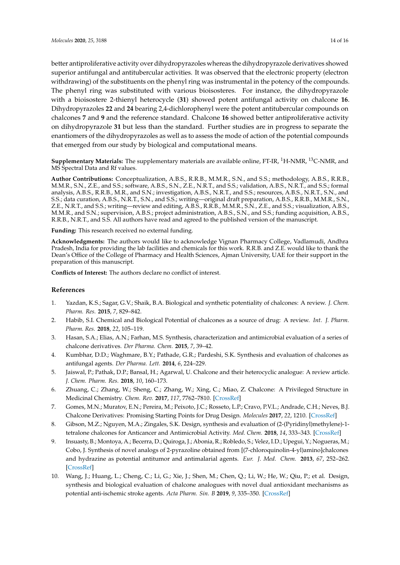better antiproliferative activity over dihydropyrazoles whereas the dihydropyrazole derivatives showed superior antifungal and antitubercular activities. It was observed that the electronic property (electron withdrawing) of the substituents on the phenyl ring was instrumental in the potency of the compounds. The phenyl ring was substituted with various bioisosteres. For instance, the dihydropyrazole with a bioisostere 2-thienyl heterocycle (**31**) showed potent antifungal activity on chalcone **16**. Dihydropyrazoles **22** and **24** bearing 2,4-dichlorophenyl were the potent antitubercular compounds on chalcones **7** and **9** and the reference standard. Chalcone **16** showed better antiproliferative activity on dihydropyrazole **31** but less than the standard. Further studies are in progress to separate the enantiomers of the dihydropyrazoles as well as to assess the mode of action of the potential compounds that emerged from our study by biological and computational means.

**Supplementary Materials:** The supplementary materials are available online, FT-IR, <sup>1</sup>H-NMR, <sup>13</sup>C-NMR, and MS Spectral Data and Rf values.

**Author Contributions:** Conceptualization, A.B.S., R.R.B., M.M.R., S.N., and S.S.; methodology, A.B.S., R.R.B., M.M.R., S.N., Z.E., and S.S.; software, A.B.S., S.N., Z.E., N.R.T., and S.S.; validation, A.B.S., N.R.T., and S.S.; formal analysis, A.B.S., R.R.B., M.R., and S.N.; investigation, A.B.S., N.R.T., and S.S.; resources, A.B.S., N.R.T., S.N., and S.S.; data curation, A.B.S., N.R.T., S.N., and S.S.; writing—original draft preparation, A.B.S., R.R.B., M.M.R., S.N., Z.E., N.R.T., and S.S.; writing—review and editing, A.B.S., R.R.B., M.M.R., S.N., Z.E., and S.S.; visualization, A.B.S., M.M.R., and S.N.; supervision, A.B.S.; project administration, A.B.S., S.N., and S.S.; funding acquisition, A.B.S., R.R.B., N.R.T., and S.S. All authors have read and agreed to the published version of the manuscript.

**Funding:** This research received no external funding.

**Acknowledgments:** The authors would like to acknowledge Vignan Pharmacy College, Vadlamudi, Andhra Pradesh, India for providing the lab facilities and chemicals for this work. R.R.B. and Z.E. would like to thank the Dean's Office of the College of Pharmacy and Health Sciences, Ajman University, UAE for their support in the preparation of this manuscript.

**Conflicts of Interest:** The authors declare no conflict of interest.

# **References**

- 1. Yazdan, K.S.; Sagar, G.V.; Shaik, B.A. Biological and synthetic potentiality of chalcones: A review. *J. Chem. Pharm. Res.* **2015**, *7*, 829–842.
- 2. Habib, S.I. Chemical and Biological Potential of chalcones as a source of drug: A review. *Int. J. Pharm. Pharm. Res.* **2018**, *22*, 105–119.
- 3. Hasan, S.A.; Elias, A.N.; Farhan, M.S. Synthesis, characterization and antimicrobial evaluation of a series of chalcone derivatives. *Der Pharma. Chem.* **2015**, *7*, 39–42.
- 4. Kumbhar, D.D.; Waghmare, B.Y.; Pathade, G.R.; Pardeshi, S.K. Synthesis and evaluation of chalcones as antifungal agents. *Der Pharma. Lett.* **2014**, *6*, 224–229.
- 5. Jaiswal, P.; Pathak, D.P.; Bansal, H.; Agarwal, U. Chalcone and their heterocyclic analogue: A review article. *J. Chem. Pharm. Res.* **2018**, *10*, 160–173.
- 6. Zhuang, C.; Zhang, W.; Sheng, C.; Zhang, W.; Xing, C.; Miao, Z. Chalcone: A Privileged Structure in Medicinal Chemistry. *Chem. Rev.* **2017**, *117*, 7762–7810. [CrossRef]
- 7. Gomes, M.N.; Muratov, E.N.; Pereira, M.; Peixoto, J.C.; Rosseto, L.P.; Cravo, P.V.L.; Andrade, C.H.; Neves, B.J. Chalcone Derivatives: Promising Starting Points for Drug Design. *Molecules* **2017**, *22*, 1210. [CrossRef]
- 8. Gibson, M.Z.; Nguyen, M.A.; Zingales, S.K. Design, synthesis and evaluation of (2-(Pyridinyl)methylene)-1 tetralone chalcones for Anticancer and Antimicrobial Activity. *Med. Chem.* **2018**, *14*, 333–343. [CrossRef]
- 9. Insuasty, B.; Montoya, A.; Becerra, D.; Quiroga, J.; Abonia, R.; Robledo, S.; Velez, I.D.; Upegui, Y.; Nogueras, M.; Cobo, J. Synthesis of novel analogs of 2-pyrazoline obtained from [(7-chloroquinolin-4-yl)amino]chalcones and hydrazine as potential antitumor and antimalarial agents. *Eur. J. Med. Chem.* **2013**, *67*, 252–262. [CrossRef]
- 10. Wang, J.; Huang, L.; Cheng, C.; Li, G.; Xie, J.; Shen, M.; Chen, Q.; Li, W.; He, W.; Qiu, P.; et al. Design, synthesis and biological evaluation of chalcone analogues with novel dual antioxidant mechanisms as potential anti-ischemic stroke agents. *Acta Pharm. Sin. B* **2019**, *9*, 335–350. [CrossRef]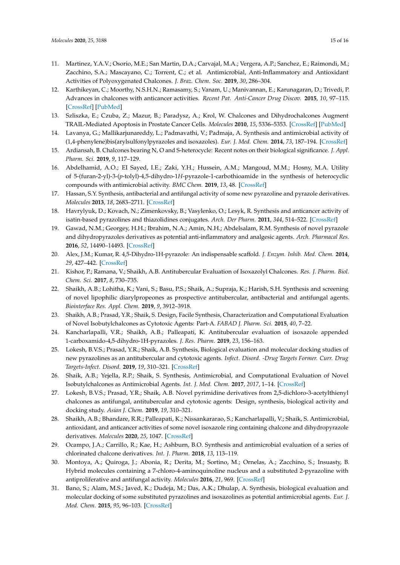- 11. Martinez, Y.A.V.; Osorio, M.E.; San Martin, D.A.; Carvajal, M.A.; Vergera, A.P.; Sanchez, E.; Raimondi, M.; Zacchino, S.A.; Mascayano, C.; Torrent, C.; et al. Antimicrobial, Anti-Inflammatory and Antioxidant Activities of Polyoxygenated Chalcones. *J. Braz. Chem. Soc.* **2019**, *30*, 286–304.
- 12. Karthikeyan, C.; Moorthy, N.S.H.N.; Ramasamy, S.; Vanam, U.; Manivannan, E.; Karunagaran, D.; Trivedi, P. Advances in chalcones with anticancer activities. *Recent Pat. Anti-Cancer Drug Discov.* **2015**, *10*, 97–115. [CrossRef] [PubMed]
- 13. Szliszka, E.; Czuba, Z.; Mazur, B.; Paradysz, A.; Krol, W. Chalcones and Dihydrochalcones Augment TRAIL-Mediated Apoptosis in Prostate Cancer Cells. *Molecules* **2010**, *15*, 5336–5353. [CrossRef] [PubMed]
- 14. Lavanya, G.; Mallikarjunareddy, L.; Padmavathi, V.; Padmaja, A. Synthesis and antimicrobial activity of (1,4-phenylene)bis(arylsulfonylpyrazoles and isoxazoles). *Eur. J. Med. Chem.* **2014**, *73*, 187–194. [CrossRef]
- 15. Ardiansah, B. Chalcones bearing N, O and S-heterocycle: Recent notes on their biological significance. *J. Appl. Pharm. Sci.* **2019**, *9*, 117–129.
- 16. Abdelhamid, A.O.; EI Sayed, I.E.; Zaki, Y.H.; Hussein, A.M.; Mangoud, M.M.; Hosny, M.A. Utility of 5-(furan-2-yl)-3-(*p*-tolyl)-4,5-dihydro-1*H*-pyrazole-1-carbothioamide in the synthesis of heterocyclic compounds with antimicrobial activity. *BMC Chem.* **2019**, *13*, 48. [CrossRef]
- 17. Hassan, S.Y. Synthesis, antibacterial and antifungal activity of some new pyrazoline and pyrazole derivatives. *Molecules* **2013**, *18*, 2683–2711. [CrossRef]
- 18. Havrylyuk, D.; Kovach, N.; Zimenkovsky, B.; Vasylenko, O.; Lesyk, R. Synthesis and anticancer activity of isatin-based pyrazolines and thiazolidines conjugates. *Arch. Der Pharm.* **2011**, *344*, 514–522. [CrossRef]
- 19. Gawad, N.M.; Georgey, H.H.; Ibrahim, N.A.; Amin, N.H.; Abdelsalam, R.M. Synthesis of novel pyrazole and dihydropyrazoles derivatives as potential anti-inflammatory and analgesic agents. *Arch. Pharmacal Res.* **2016**, *52*, 14490–14493. [CrossRef]
- 20. Alex, J.M.; Kumar, R. 4,5-Dihydro-1H-pyrazole: An indispensable scaffold. *J. Enzym. Inhib. Med. Chem.* **2014**, *29*, 427–442. [CrossRef]
- 21. Kishor, P.; Ramana, V.; Shaikh, A.B. Antitubercular Evaluation of Isoxazolyl Chalcones. *Res. J. Pharm. Biol. Chem. Sci.* **2017**, *8*, 730–735.
- 22. Shaikh, A.B.; Lohitha, K.; Vani, S.; Basu, P.S.; Shaik, A.; Supraja, K.; Harish, S.H. Synthesis and screening of novel lipophilic diarylpropeones as prospective antitubercular, antibacterial and antifungal agents. *Biointerface Res. Appl. Chem.* **2019**, *9*, 3912–3918.
- 23. Shaikh, A.B.; Prasad, Y.R.; Shaik, S. Design, Facile Synthesis, Characterization and Computational Evaluation of Novel Isobutylchalcones as Cytotoxic Agents: Part-A. *FABAD J. Pharm. Sci.* **2015**, *40*, 7–22.
- 24. Kancharlapalli, V.R.; Shaikh, A.B.; Palleapati, K. Antitubercular evaluation of isoxazole appended 1-carboxamido-4,5-dihydro-1H-pyrazoles. *J. Res. Pharm.* **2019**, *23*, 156–163.
- 25. Lokesh, B.V.S.; Prasad, Y.R.; Shaik, A.B. Synthesis, Biological evaluation and molecular docking studies of new pyrazolines as an antitubercular and cytotoxic agents. *Infect. Disord. -Drug Targets Former. Curr. Drug Targets-Infect. Disord.* **2019**, *19*, 310–321. [CrossRef]
- 26. Shaik, A.B.; Yejella, R.P.; Shaik, S. Synthesis, Antimicrobial, and Computational Evaluation of Novel Isobutylchalcones as Antimicrobial Agents. *Int. J. Med. Chem.* **2017**, *2017*, 1–14. [CrossRef]
- 27. Lokesh, B.V.S.; Prasad, Y.R.; Shaik, A.B. Novel pyrimidine derivatives from 2,5-dichloro-3-acetylthienyl chalcones as antifungal, antitubercular and cytotoxic agents: Design, synthesis, biological activity and docking study. *Asian J. Chem.* **2019**, *19*, 310–321.
- 28. Shaikh, A.B.; Bhandare, R.R.; Palleapati, K.; Nissankararao, S.; Kancharlapalli, V.; Shaik, S. Antimicrobial, antioxidant, and anticancer activities of some novel isoxazole ring containing chalcone and dihydropyrazole derivatives. *Molecules* **2020**, *25*, 1047. [CrossRef]
- 29. Ocampo, J.A.; Carrillo, R.; Kae, H.; Ashburn, B.O. Synthesis and antimicrobial evaluation of a series of chlorinated chalcone derivatives. *Int. J. Pharm.* **2018**, *13*, 113–119.
- 30. Montoya, A.; Quiroga, J.; Abonia, R.; Derita, M.; Sortino, M.; Ornelas, A.; Zacchino, S.; Insuasty, B. Hybrid molecules containing a 7-chloro-4-aminoquinoline nucleus and a substituted 2-pyrazoline with antiproliferative and antifungal activity. *Molecules* **2016**, *21*, 969. [CrossRef]
- 31. Bano, S.; Alam, M.S.; Javed, K.; Dudeja, M.; Das, A.K.; Dhulap, A. Synthesis, biological evaluation and molecular docking of some substituted pyrazolines and isoxazolines as potential antimicrobial agents. *Eur. J. Med. Chem.* **2015**, *95*, 96–103. [CrossRef]